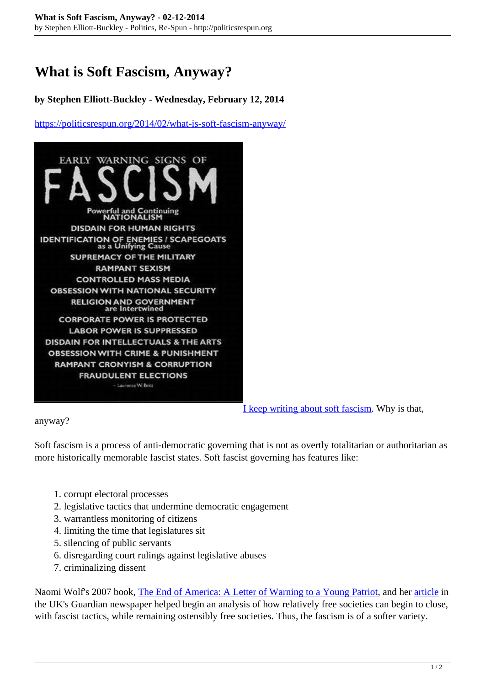## **What is Soft Fascism, Anyway?**

## **by Stephen Elliott-Buckley - Wednesday, February 12, 2014**

<https://politicsrespun.org/2014/02/what-is-soft-fascism-anyway/>



[I keep writing about soft fascism](http://politicsrespun.org/category/soft-fascism/). Why is that,

anyway?

Soft fascism is a process of anti-democratic governing that is not as overtly totalitarian or authoritarian as more historically memorable fascist states. Soft fascist governing has features like:

- 1. corrupt electoral processes
- 2. legislative tactics that undermine democratic engagement
- 3. warrantless monitoring of citizens
- 4. limiting the time that legislatures sit
- 5. silencing of public servants
- 6. disregarding court rulings against legislative abuses
- 7. criminalizing dissent

Naomi Wolf's 2007 book, [The End of America: A Letter of Warning to a Young Patriot,](https://en.wikipedia.org/wiki/The_End_of_America:_A_Letter_of_Warning_to_a_Young_Patriot) and her [article](http://www.theguardian.com/world/2007/apr/24/usa.comment) in the UK's Guardian newspaper helped begin an analysis of how relatively free societies can begin to close, with fascist tactics, while remaining ostensibly free societies. Thus, the fascism is of a softer variety.